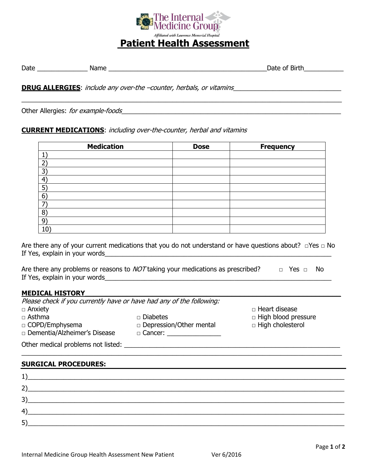

 $\_$  , and the set of the set of the set of the set of the set of the set of the set of the set of the set of the set of the set of the set of the set of the set of the set of the set of the set of the set of the set of th

# Date \_\_\_\_\_\_\_\_\_\_\_\_\_\_ Name \_\_\_\_\_\_\_\_\_\_\_\_\_\_\_\_\_\_\_\_\_\_\_\_\_\_\_\_\_\_\_\_\_\_\_\_\_\_\_\_\_\_\_\_Date of Birth\_\_\_\_\_\_\_\_\_\_\_

**DRUG ALLERGIES**: include any over-the –counter, herbals, or vitamins\_\_\_\_\_\_\_\_\_\_\_\_\_\_\_\_\_\_\_\_\_\_\_\_\_\_\_\_\_\_

Other Allergies: for example-foods\_\_\_\_\_\_\_\_\_\_\_\_\_\_\_\_\_\_\_\_\_\_\_\_\_\_\_\_\_\_\_\_\_\_\_\_\_\_\_\_\_\_\_\_\_\_\_\_\_\_\_\_\_\_\_\_\_\_\_\_\_

## **CURRENT MEDICATIONS**: including over-the-counter, herbal and vitamins

| <b>Medication</b> | <b>Dose</b> | <b>Frequency</b> |
|-------------------|-------------|------------------|
|                   |             |                  |
| ำ                 |             |                  |
| 3 <sup>2</sup>    |             |                  |
| $\overline{4}$    |             |                  |
| $5^{\circ}$       |             |                  |
| 6 <sup>°</sup>    |             |                  |
| 7                 |             |                  |
| 8)                |             |                  |
| $9^{\circ}$       |             |                  |
| 10 <sup>7</sup>   |             |                  |

Are there any of your current medications that you do not understand or have questions about? □Yes □ No If Yes, explain in your words\_\_\_\_\_\_\_\_\_\_\_\_\_\_\_\_\_\_\_\_\_\_\_\_\_\_\_\_\_\_\_\_\_\_\_\_\_\_\_\_\_\_\_\_\_\_\_\_\_\_\_\_\_\_\_\_\_\_\_\_\_\_\_

Are there any problems or reasons to  $NOT$  taking your medications as prescribed?  $\Box$  Yes  $\Box$  No If Yes, explain in your words\_\_\_\_\_\_\_\_\_\_\_\_\_\_\_\_\_\_\_\_\_\_\_\_\_\_\_\_\_\_\_\_\_\_\_\_\_\_\_\_\_\_\_\_\_\_\_\_\_\_\_\_\_\_\_\_\_\_\_\_\_\_\_

#### **MEDICAL HISTORY\_\_\_\_\_\_\_\_\_\_\_\_\_\_\_\_\_\_\_\_\_\_\_\_\_\_\_\_\_\_\_\_\_\_\_\_\_\_\_\_\_\_\_\_\_\_\_\_\_\_\_\_\_\_\_\_\_\_\_\_\_**

| Please check if you currently have or have had any of the following: |                                |                            |
|----------------------------------------------------------------------|--------------------------------|----------------------------|
| $\Box$ Anxiety                                                       |                                | □ Heart disease            |
| $\Box$ Asthma                                                        | □ Diabetes                     | $\Box$ High blood pressure |
| $\Box$ COPD/Emphysema                                                | $\Box$ Depression/Other mental | $\Box$ High cholesterol    |
| □ Dementia/Alzheimer's Disease                                       | $\Box$ Cancer:                 |                            |
| Other medical problems not listed:                                   |                                |                            |

 $\_$  , and the set of the set of the set of the set of the set of the set of the set of the set of the set of the set of the set of the set of the set of the set of the set of the set of the set of the set of the set of th

#### **SURGICAL PROCEDURES:**

| л.,                  | <u> 1989 - Johann Stein, fransk politiker (d. 1989)</u>                                                              |  |  |
|----------------------|----------------------------------------------------------------------------------------------------------------------|--|--|
| 2)                   | <u> 1980 - Jan Stein Stein Stein Stein Stein Stein Stein Stein Stein Stein Stein Stein Stein Stein Stein Stein S</u> |  |  |
|                      | <u> 1989 - Johann Barnett, fransk politiker (d. 1989)</u>                                                            |  |  |
| $\mathbf{4}^{\circ}$ |                                                                                                                      |  |  |
| 5)                   |                                                                                                                      |  |  |
|                      |                                                                                                                      |  |  |